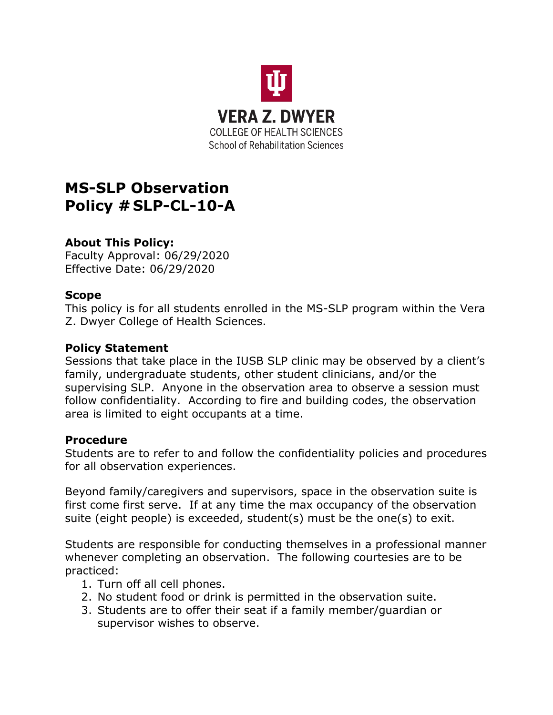

# **MS-SLP Observation Policy # SLP-CL-10-A**

# **About This Policy:**

Faculty Approval: 06/29/2020 Effective Date: 06/29/2020

## **Scope**

This policy is for all students enrolled in the MS-SLP program within the Vera Z. Dwyer College of Health Sciences.

### **Policy Statement**

Sessions that take place in the IUSB SLP clinic may be observed by a client's family, undergraduate students, other student clinicians, and/or the supervising SLP. Anyone in the observation area to observe a session must follow confidentiality. According to fire and building codes, the observation area is limited to eight occupants at a time.

### **Procedure**

Students are to refer to and follow the confidentiality policies and procedures for all observation experiences.

Beyond family/caregivers and supervisors, space in the observation suite is first come first serve. If at any time the max occupancy of the observation suite (eight people) is exceeded, student(s) must be the one(s) to exit.

Students are responsible for conducting themselves in a professional manner whenever completing an observation. The following courtesies are to be practiced:

- 1. Turn off all cell phones.
- 2. No student food or drink is permitted in the observation suite.
- 3. Students are to offer their seat if a family member/guardian or supervisor wishes to observe.